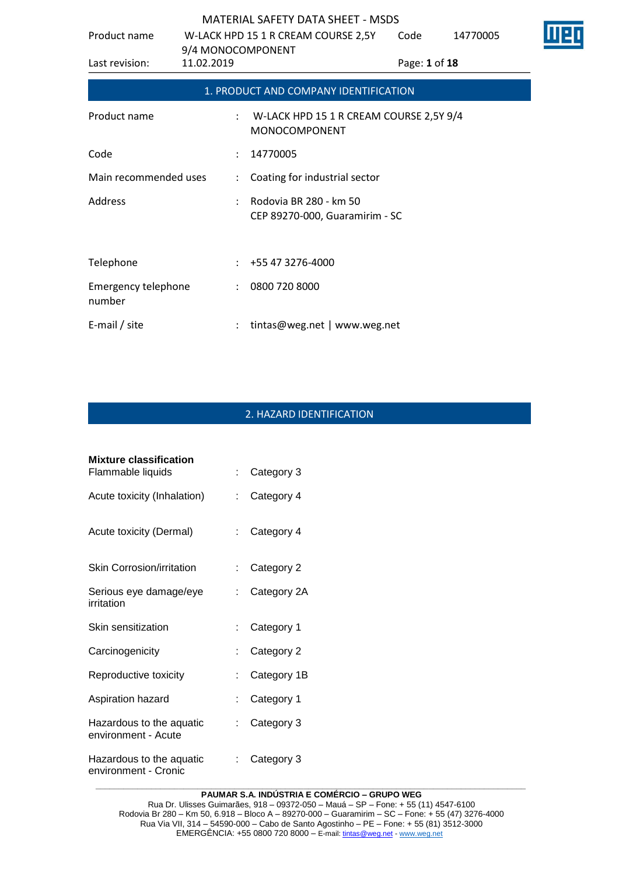| Product name                         |                                 |                      | W-LACK HPD 15 1 R CREAM COURSE 2,5Y                        | Code | 14770005 |  |
|--------------------------------------|---------------------------------|----------------------|------------------------------------------------------------|------|----------|--|
| Last revision:                       | 9/4 MONOCOMPONENT<br>11.02.2019 |                      | Page: 1 of 18                                              |      |          |  |
|                                      |                                 |                      | 1. PRODUCT AND COMPANY IDENTIFICATION                      |      |          |  |
| Product name                         |                                 |                      | : W-LACK HPD 15 1 R CREAM COURSE 2,5Y 9/4<br>MONOCOMPONENT |      |          |  |
| Code                                 |                                 |                      | 14770005                                                   |      |          |  |
| Main recommended uses                |                                 | $\ddot{\phantom{0}}$ | Coating for industrial sector                              |      |          |  |
| Address                              |                                 |                      | Rodovia BR 280 - km 50<br>CEP 89270-000, Guaramirim - SC   |      |          |  |
| Telephone                            |                                 |                      | $: +55473276-4000$                                         |      |          |  |
| <b>Emergency telephone</b><br>number |                                 |                      | : 08007208000                                              |      |          |  |
| E-mail / site                        |                                 |                      | tintas@weg.net   www.weg.net                               |      |          |  |

## 2. HAZARD IDENTIFICATION

| <b>Mixture classification</b><br>Flammable liquids | t. | Category 3  |
|----------------------------------------------------|----|-------------|
| Acute toxicity (Inhalation)                        |    | Category 4  |
| Acute toxicity (Dermal)                            |    | Category 4  |
| <b>Skin Corrosion/irritation</b>                   |    | Category 2  |
| Serious eye damage/eye<br>irritation               |    | Category 2A |
| Skin sensitization                                 |    | Category 1  |
| Carcinogenicity                                    |    | Category 2  |
| Reproductive toxicity                              |    | Category 1B |
| Aspiration hazard                                  |    | Category 1  |
| Hazardous to the aquatic<br>environment - Acute    |    | Category 3  |
| Hazardous to the aquatic<br>environment - Cronic   |    | Category 3  |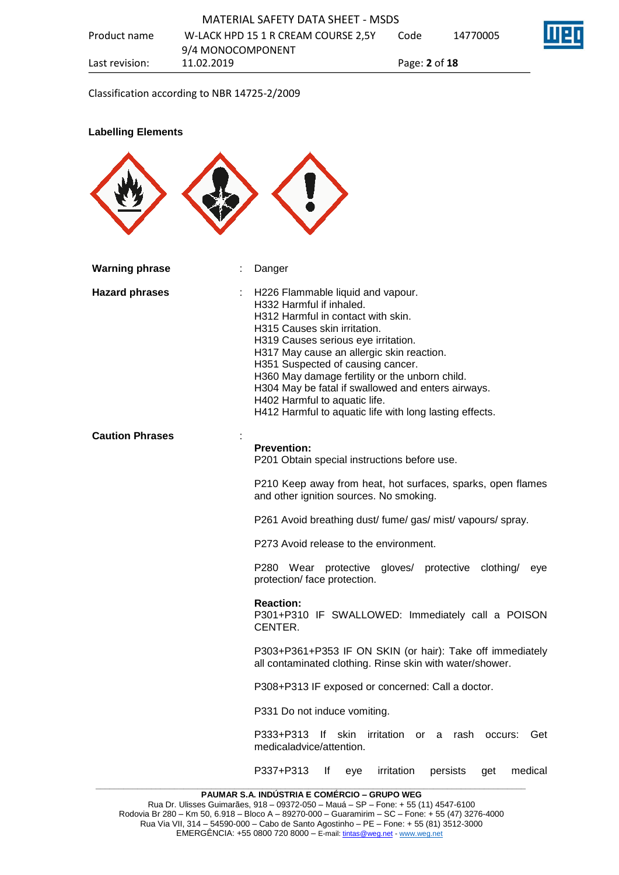Classification according to NBR 14725-2/2009

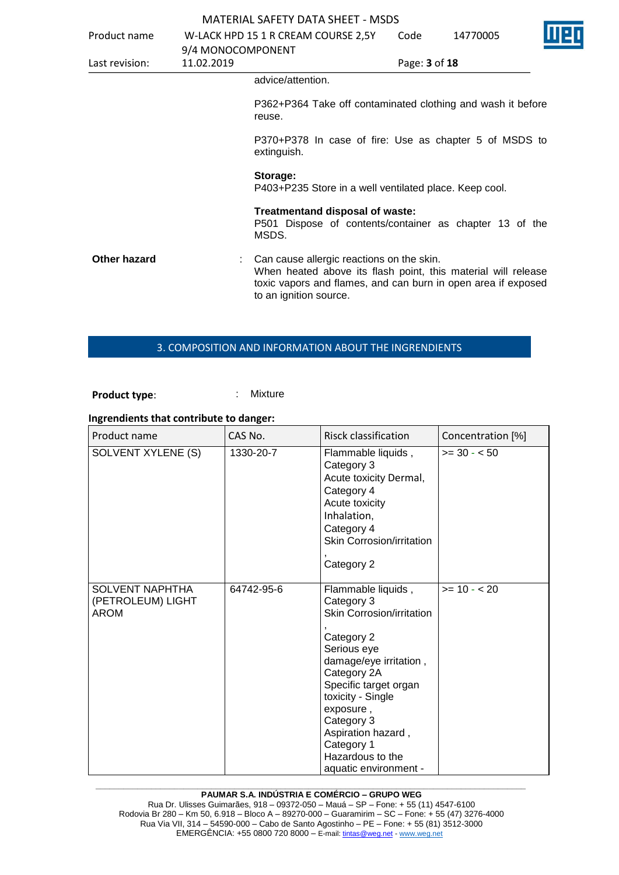| Product name   | 9/4 MONOCOMPONENT | W-LACK HPD 15 1 R CREAM COURSE 2,5Y                                                                                                                                                                   | Code          | 14770005 |  |  |
|----------------|-------------------|-------------------------------------------------------------------------------------------------------------------------------------------------------------------------------------------------------|---------------|----------|--|--|
| Last revision: | 11.02.2019        |                                                                                                                                                                                                       | Page: 3 of 18 |          |  |  |
|                |                   | advice/attention.                                                                                                                                                                                     |               |          |  |  |
|                |                   | P362+P364 Take off contaminated clothing and wash it before<br>reuse.                                                                                                                                 |               |          |  |  |
|                |                   | P370+P378 In case of fire: Use as chapter 5 of MSDS to<br>extinguish.                                                                                                                                 |               |          |  |  |
|                |                   | Storage:<br>P403+P235 Store in a well ventilated place. Keep cool.                                                                                                                                    |               |          |  |  |
|                |                   | Treatmentand disposal of waste:<br>P501 Dispose of contents/container as chapter 13 of the<br>MSDS.                                                                                                   |               |          |  |  |
| Other hazard   |                   | Can cause allergic reactions on the skin.<br>When heated above its flash point, this material will release<br>toxic vapors and flames, and can burn in open area if exposed<br>to an ignition source. |               |          |  |  |

### 3. COMPOSITION AND INFORMATION ABOUT THE INGRENDIENTS

**Product type:** : : : : : Mixture

## **Ingrendients that contribute to danger:**

| Product name                                        | CAS No.    | <b>Risck classification</b>                                                                                                                                                                                                                                                                   | Concentration [%] |
|-----------------------------------------------------|------------|-----------------------------------------------------------------------------------------------------------------------------------------------------------------------------------------------------------------------------------------------------------------------------------------------|-------------------|
| SOLVENT XYLENE (S)                                  | 1330-20-7  | Flammable liquids,<br>Category 3<br>Acute toxicity Dermal,<br>Category 4<br>Acute toxicity<br>Inhalation,<br>Category 4<br>Skin Corrosion/irritation<br>Category 2                                                                                                                            | $>= 30 - 50$      |
| <b>SOLVENT NAPHTHA</b><br>(PETROLEUM) LIGHT<br>AROM | 64742-95-6 | Flammable liquids,<br>Category 3<br>Skin Corrosion/irritation<br>Category 2<br>Serious eye<br>damage/eye irritation,<br>Category 2A<br>Specific target organ<br>toxicity - Single<br>exposure,<br>Category 3<br>Aspiration hazard,<br>Category 1<br>Hazardous to the<br>aquatic environment - | $>= 10 - 20$      |

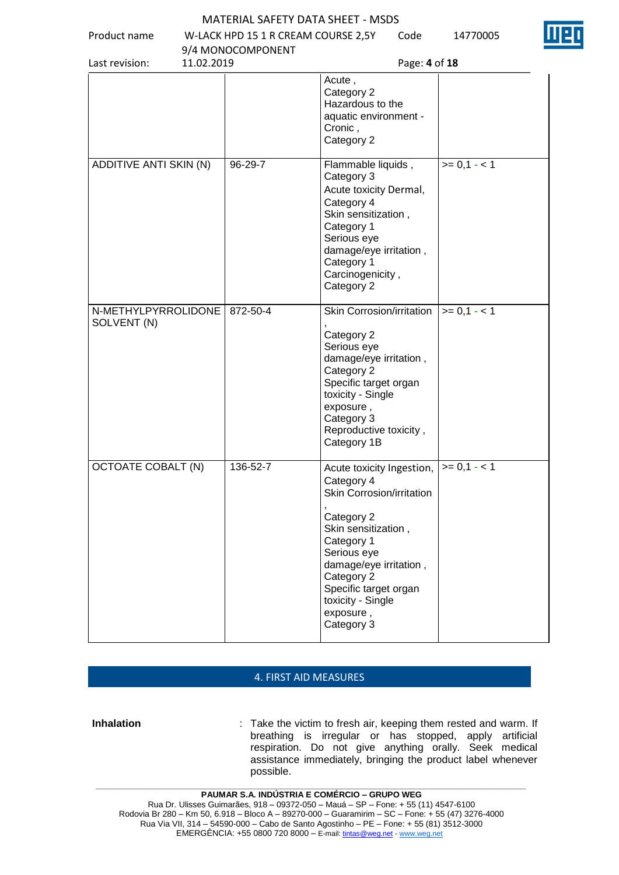Product name W-LACK HPD 15 1 R CREAM COURSE 2,5Y Code 14770005



| 11.02.2019<br>Last revision:       | 9/4 MONOCOMPONENT | Page: 4 of 18                                                                                                                                                                                                                                           |               |
|------------------------------------|-------------------|---------------------------------------------------------------------------------------------------------------------------------------------------------------------------------------------------------------------------------------------------------|---------------|
|                                    |                   | Acute,<br>Category 2<br>Hazardous to the<br>aquatic environment -<br>Cronic,<br>Category 2                                                                                                                                                              |               |
| ADDITIVE ANTI SKIN (N)             | 96-29-7           | Flammable liquids,<br>Category 3<br>Acute toxicity Dermal,<br>Category 4<br>Skin sensitization,<br>Category 1<br>Serious eye<br>damage/eye irritation,<br>Category 1<br>Carcinogenicity,<br>Category 2                                                  | $>= 0,1 - 1$  |
| N-METHYLPYRROLIDONE<br>SOLVENT (N) | 872-50-4          | Skin Corrosion/irritation<br>Category 2<br>Serious eye<br>damage/eye irritation,<br>Category 2<br>Specific target organ<br>toxicity - Single<br>exposure,<br>Category 3<br>Reproductive toxicity,<br>Category 1B                                        | $>= 0, 1 - 1$ |
| <b>OCTOATE COBALT (N)</b>          | 136-52-7          | Acute toxicity Ingestion,<br>Category 4<br>Skin Corrosion/irritation<br>Category 2<br>Skin sensitization,<br>Category 1<br>Serious eye<br>damage/eye irritation,<br>Category 2<br>Specific target organ<br>toxicity - Single<br>exposure,<br>Category 3 | $>= 0.1 - 1$  |

### 4. FIRST AID MEASURES

**Inhalation** : Take the victim to fresh air, keeping them rested and warm. If breathing is irregular or has stopped, apply artificial respiration. Do not give anything orally. Seek medical assistance immediately, bringing the product label whenever possible.

**\_\_\_\_\_\_\_\_\_\_\_\_\_\_\_\_\_\_\_\_\_\_\_\_\_\_\_\_\_\_\_\_\_\_\_\_\_\_\_\_\_\_\_\_\_\_\_\_\_\_\_\_\_\_\_\_\_\_\_\_\_\_\_\_\_\_\_\_\_\_\_\_\_\_\_\_\_\_\_\_\_\_\_\_\_\_\_\_\_\_\_\_\_**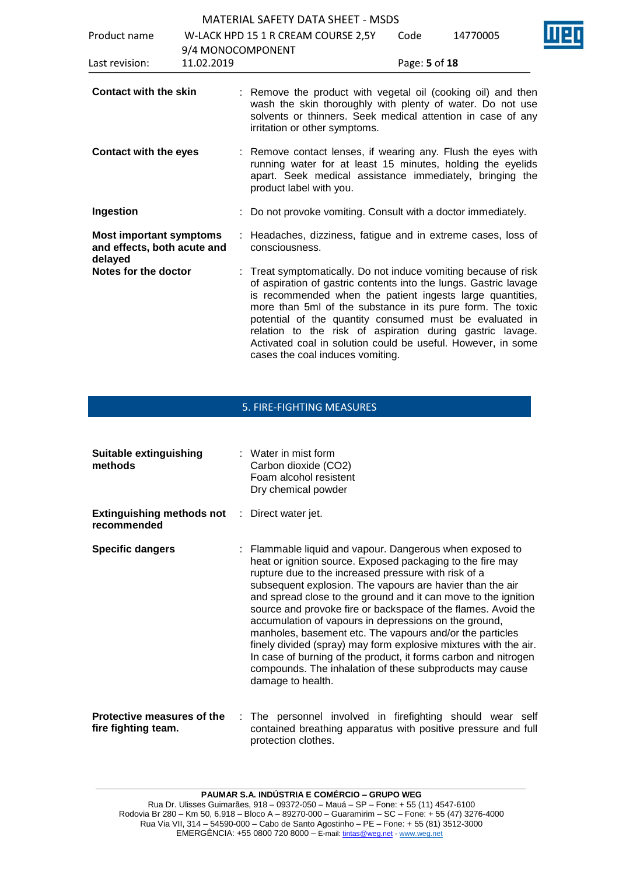| Product name                                                             |                                 | W-LACK HPD 15 1 R CREAM COURSE 2,5Y                                                                                                                                                                                                                                                                                                                                                                                                                                                        | Code          | 14770005 |  |
|--------------------------------------------------------------------------|---------------------------------|--------------------------------------------------------------------------------------------------------------------------------------------------------------------------------------------------------------------------------------------------------------------------------------------------------------------------------------------------------------------------------------------------------------------------------------------------------------------------------------------|---------------|----------|--|
| Last revision:                                                           | 9/4 MONOCOMPONENT<br>11.02.2019 |                                                                                                                                                                                                                                                                                                                                                                                                                                                                                            | Page: 5 of 18 |          |  |
| <b>Contact with the skin</b>                                             |                                 | : Remove the product with vegetal oil (cooking oil) and then<br>wash the skin thoroughly with plenty of water. Do not use<br>solvents or thinners. Seek medical attention in case of any<br>irritation or other symptoms.                                                                                                                                                                                                                                                                  |               |          |  |
| <b>Contact with the eyes</b>                                             |                                 | : Remove contact lenses, if wearing any. Flush the eyes with<br>running water for at least 15 minutes, holding the eyelids<br>apart. Seek medical assistance immediately, bringing the<br>product label with you.                                                                                                                                                                                                                                                                          |               |          |  |
| Ingestion                                                                |                                 | Do not provoke vomiting. Consult with a doctor immediately.                                                                                                                                                                                                                                                                                                                                                                                                                                |               |          |  |
| <b>Most important symptoms</b><br>and effects, both acute and<br>delayed |                                 | Headaches, dizziness, fatigue and in extreme cases, loss of<br>consciousness.                                                                                                                                                                                                                                                                                                                                                                                                              |               |          |  |
| Notes for the doctor                                                     |                                 | : Treat symptomatically. Do not induce vomiting because of risk<br>of aspiration of gastric contents into the lungs. Gastric lavage<br>is recommended when the patient ingests large quantities,<br>more than 5ml of the substance in its pure form. The toxic<br>potential of the quantity consumed must be evaluated in<br>relation to the risk of aspiration during gastric lavage.<br>Activated coal in solution could be useful. However, in some<br>cases the coal induces vomiting. |               |          |  |

## 5. FIRE-FIGHTING MEASURES

| Suitable extinguishing<br>methods                                   | $:$ Water in mist form<br>Carbon dioxide (CO2)<br>Foam alcohol resistent<br>Dry chemical powder                                                                                                                                                                                                                                                                                                                                                                                                                                                                                                                                                                                                                             |
|---------------------------------------------------------------------|-----------------------------------------------------------------------------------------------------------------------------------------------------------------------------------------------------------------------------------------------------------------------------------------------------------------------------------------------------------------------------------------------------------------------------------------------------------------------------------------------------------------------------------------------------------------------------------------------------------------------------------------------------------------------------------------------------------------------------|
| <b>Extinguishing methods not</b> : Direct water jet.<br>recommended |                                                                                                                                                                                                                                                                                                                                                                                                                                                                                                                                                                                                                                                                                                                             |
| <b>Specific dangers</b>                                             | : Flammable liquid and vapour. Dangerous when exposed to<br>heat or ignition source. Exposed packaging to the fire may<br>rupture due to the increased pressure with risk of a<br>subsequent explosion. The vapours are havier than the air<br>and spread close to the ground and it can move to the ignition<br>source and provoke fire or backspace of the flames. Avoid the<br>accumulation of vapours in depressions on the ground,<br>manholes, basement etc. The vapours and/or the particles<br>finely divided (spray) may form explosive mixtures with the air.<br>In case of burning of the product, it forms carbon and nitrogen<br>compounds. The inhalation of these subproducts may cause<br>damage to health. |
| Protective measures of the<br>fire fighting team.                   | : The personnel involved in firefighting should wear self<br>contained breathing apparatus with positive pressure and full                                                                                                                                                                                                                                                                                                                                                                                                                                                                                                                                                                                                  |

protection clothes.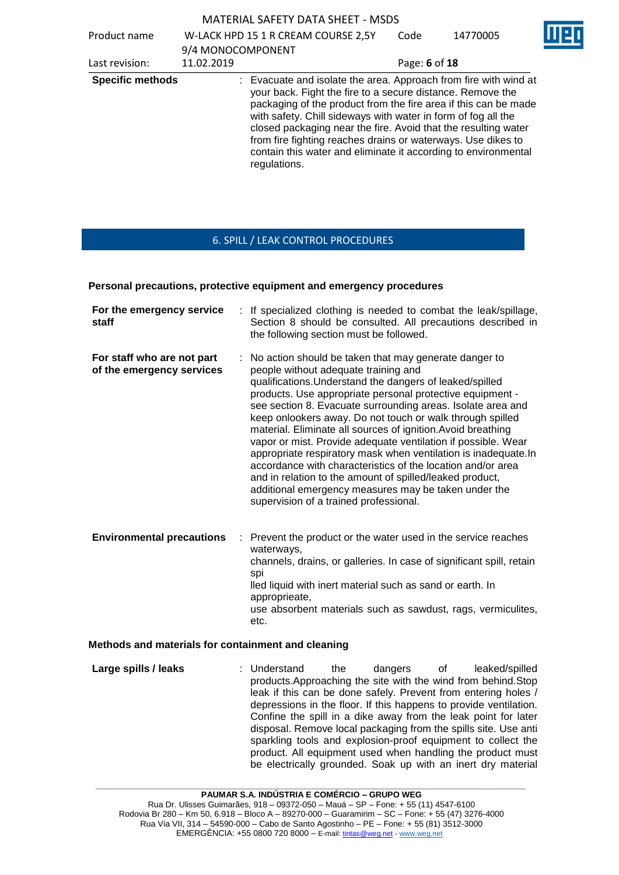| Product name            | 9/4 MONOCOMPONENT | W-LACK HPD 15 1 R CREAM COURSE 2,5Y                                                                                                                                                                                                                                                                                                                                                                                                                                                    | Code          | 14770005 |  |
|-------------------------|-------------------|----------------------------------------------------------------------------------------------------------------------------------------------------------------------------------------------------------------------------------------------------------------------------------------------------------------------------------------------------------------------------------------------------------------------------------------------------------------------------------------|---------------|----------|--|
| Last revision:          | 11.02.2019        |                                                                                                                                                                                                                                                                                                                                                                                                                                                                                        | Page: 6 of 18 |          |  |
| <b>Specific methods</b> |                   | : Evacuate and isolate the area. Approach from fire with wind at<br>your back. Fight the fire to a secure distance. Remove the<br>packaging of the product from the fire area if this can be made<br>with safety. Chill sideways with water in form of fog all the<br>closed packaging near the fire. Avoid that the resulting water<br>from fire fighting reaches drains or waterways. Use dikes to<br>contain this water and eliminate it according to environmental<br>regulations. |               |          |  |

### 6. SPILL / LEAK CONTROL PROCEDURES

#### **Personal precautions, protective equipment and emergency procedures**

| For the emergency service<br>staff                      | If specialized clothing is needed to combat the leak/spillage,<br>Section 8 should be consulted. All precautions described in<br>the following section must be followed.                                                                                                                                                                                                                                                                                                                                                                                                                                                                                                                                                                                                              |
|---------------------------------------------------------|---------------------------------------------------------------------------------------------------------------------------------------------------------------------------------------------------------------------------------------------------------------------------------------------------------------------------------------------------------------------------------------------------------------------------------------------------------------------------------------------------------------------------------------------------------------------------------------------------------------------------------------------------------------------------------------------------------------------------------------------------------------------------------------|
| For staff who are not part<br>of the emergency services | : No action should be taken that may generate danger to<br>people without adequate training and<br>qualifications. Understand the dangers of leaked/spilled<br>products. Use appropriate personal protective equipment -<br>see section 8. Evacuate surrounding areas. Isolate area and<br>keep onlookers away. Do not touch or walk through spilled<br>material. Eliminate all sources of ignition. Avoid breathing<br>vapor or mist. Provide adequate ventilation if possible. Wear<br>appropriate respiratory mask when ventilation is inadequate. In<br>accordance with characteristics of the location and/or area<br>and in relation to the amount of spilled/leaked product,<br>additional emergency measures may be taken under the<br>supervision of a trained professional. |
| <b>Environmental precautions</b>                        | Prevent the product or the water used in the service reaches<br>waterways,<br>channels, drains, or galleries. In case of significant spill, retain<br>spi<br>lled liquid with inert material such as sand or earth. In<br>approprieate,<br>use absorbent materials such as sawdust, rags, vermiculites,<br>etc.                                                                                                                                                                                                                                                                                                                                                                                                                                                                       |

#### **Methods and materials for containment and cleaning**

**Large spills / leaks** : Understand the dangers of leaked/spilled products.Approaching the site with the wind from behind.Stop leak if this can be done safely. Prevent from entering holes / depressions in the floor. If this happens to provide ventilation. Confine the spill in a dike away from the leak point for later disposal. Remove local packaging from the spills site. Use anti sparkling tools and explosion-proof equipment to collect the product. All equipment used when handling the product must be electrically grounded. Soak up with an inert dry material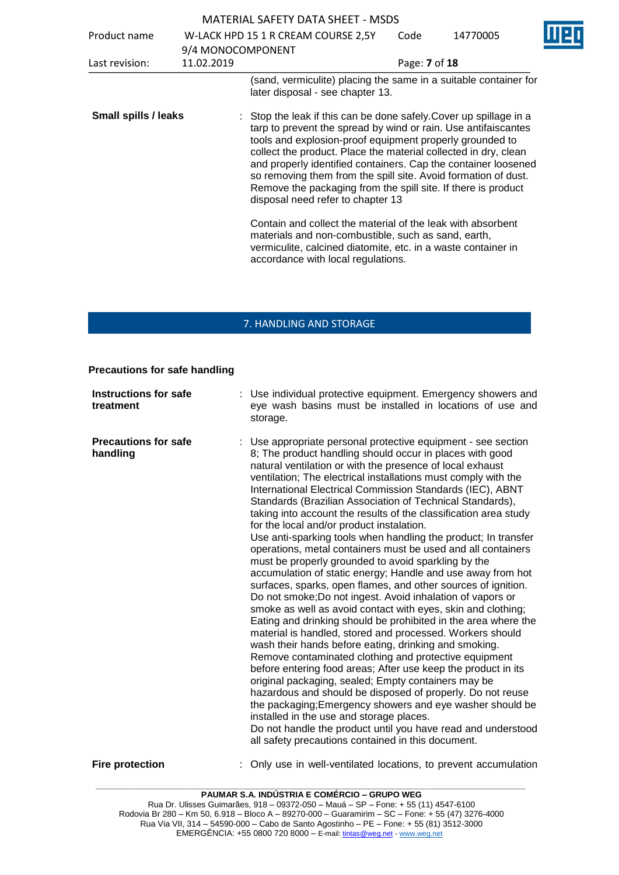|                             |                   | 1816 LUCE JALLI DATA JULLI                                                                                                                                                                                                                                                                                                                                                                                                                                                                                    |               |          |  |
|-----------------------------|-------------------|---------------------------------------------------------------------------------------------------------------------------------------------------------------------------------------------------------------------------------------------------------------------------------------------------------------------------------------------------------------------------------------------------------------------------------------------------------------------------------------------------------------|---------------|----------|--|
| Product name                |                   | W-LACK HPD 15 1 R CREAM COURSE 2,5Y                                                                                                                                                                                                                                                                                                                                                                                                                                                                           | Code          | 14770005 |  |
|                             | 9/4 MONOCOMPONENT |                                                                                                                                                                                                                                                                                                                                                                                                                                                                                                               |               |          |  |
| Last revision:              | 11.02.2019        |                                                                                                                                                                                                                                                                                                                                                                                                                                                                                                               | Page: 7 of 18 |          |  |
|                             |                   | (sand, vermiculite) placing the same in a suitable container for<br>later disposal - see chapter 13.                                                                                                                                                                                                                                                                                                                                                                                                          |               |          |  |
| <b>Small spills / leaks</b> |                   | : Stop the leak if this can be done safely. Cover up spillage in a<br>tarp to prevent the spread by wind or rain. Use antifaiscantes<br>tools and explosion-proof equipment properly grounded to<br>collect the product. Place the material collected in dry, clean<br>and properly identified containers. Cap the container loosened<br>so removing them from the spill site. Avoid formation of dust.<br>Remove the packaging from the spill site. If there is product<br>disposal need refer to chapter 13 |               |          |  |
|                             |                   | Contain and collect the material of the leak with absorbent<br>materials and non-combustible, such as sand, earth,<br>vermiculite, calcined diatomite, etc. in a waste container in<br>accordance with local regulations.                                                                                                                                                                                                                                                                                     |               |          |  |

## 7. HANDLING AND STORAGE

### **Precautions for safe handling**

| <b>Instructions for safe</b><br>treatment | Use individual protective equipment. Emergency showers and<br>eye wash basins must be installed in locations of use and<br>storage.                                                                                                                                                                                                                                                                                                                                                                                                                                                                                                                                                                                                                                                                                                                                                                                                                                                                                                                                                                                                                                                                                                                                                                                                                                                                                                                                                                                                                                                                                              |
|-------------------------------------------|----------------------------------------------------------------------------------------------------------------------------------------------------------------------------------------------------------------------------------------------------------------------------------------------------------------------------------------------------------------------------------------------------------------------------------------------------------------------------------------------------------------------------------------------------------------------------------------------------------------------------------------------------------------------------------------------------------------------------------------------------------------------------------------------------------------------------------------------------------------------------------------------------------------------------------------------------------------------------------------------------------------------------------------------------------------------------------------------------------------------------------------------------------------------------------------------------------------------------------------------------------------------------------------------------------------------------------------------------------------------------------------------------------------------------------------------------------------------------------------------------------------------------------------------------------------------------------------------------------------------------------|
| <b>Precautions for safe</b><br>handling   | : Use appropriate personal protective equipment - see section<br>8; The product handling should occur in places with good<br>natural ventilation or with the presence of local exhaust<br>ventilation; The electrical installations must comply with the<br>International Electrical Commission Standards (IEC), ABNT<br>Standards (Brazilian Association of Technical Standards),<br>taking into account the results of the classification area study<br>for the local and/or product instalation.<br>Use anti-sparking tools when handling the product; In transfer<br>operations, metal containers must be used and all containers<br>must be properly grounded to avoid sparkling by the<br>accumulation of static energy; Handle and use away from hot<br>surfaces, sparks, open flames, and other sources of ignition.<br>Do not smoke; Do not ingest. Avoid inhalation of vapors or<br>smoke as well as avoid contact with eyes, skin and clothing;<br>Eating and drinking should be prohibited in the area where the<br>material is handled, stored and processed. Workers should<br>wash their hands before eating, drinking and smoking.<br>Remove contaminated clothing and protective equipment<br>before entering food areas; After use keep the product in its<br>original packaging, sealed; Empty containers may be<br>hazardous and should be disposed of properly. Do not reuse<br>the packaging; Emergency showers and eye washer should be<br>installed in the use and storage places.<br>Do not handle the product until you have read and understood<br>all safety precautions contained in this document. |
| <b>Fire protection</b>                    | Only use in well-ventilated locations, to prevent accumulation                                                                                                                                                                                                                                                                                                                                                                                                                                                                                                                                                                                                                                                                                                                                                                                                                                                                                                                                                                                                                                                                                                                                                                                                                                                                                                                                                                                                                                                                                                                                                                   |

**\_\_\_\_\_\_\_\_\_\_\_\_\_\_\_\_\_\_\_\_\_\_\_\_\_\_\_\_\_\_\_\_\_\_\_\_\_\_\_\_\_\_\_\_\_\_\_\_\_\_\_\_\_\_\_\_\_\_\_\_\_\_\_\_\_\_\_\_\_\_\_\_\_\_\_\_\_\_\_\_\_\_\_\_\_\_\_\_\_\_\_\_\_**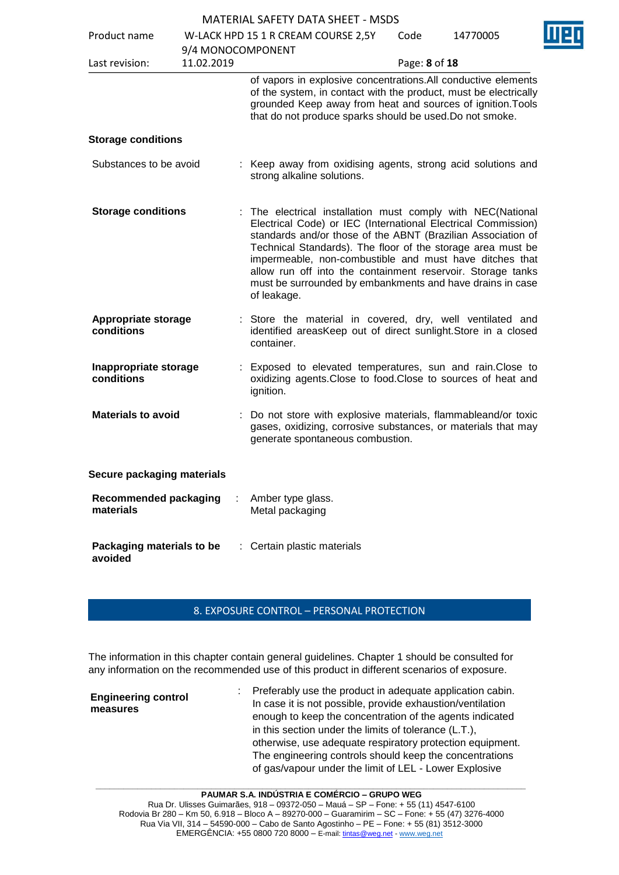|                                           |                   | <b>MATERIAL SAFETY DATA SHEET - MSDS</b>                                                                                                                                                                                                                                                                                                                                                                                                                          |               |          |  |
|-------------------------------------------|-------------------|-------------------------------------------------------------------------------------------------------------------------------------------------------------------------------------------------------------------------------------------------------------------------------------------------------------------------------------------------------------------------------------------------------------------------------------------------------------------|---------------|----------|--|
| Product name                              |                   | W-LACK HPD 15 1 R CREAM COURSE 2,5Y                                                                                                                                                                                                                                                                                                                                                                                                                               | Code          | 14770005 |  |
|                                           | 9/4 MONOCOMPONENT |                                                                                                                                                                                                                                                                                                                                                                                                                                                                   |               |          |  |
| Last revision:                            | 11.02.2019        |                                                                                                                                                                                                                                                                                                                                                                                                                                                                   | Page: 8 of 18 |          |  |
|                                           |                   | of vapors in explosive concentrations. All conductive elements<br>of the system, in contact with the product, must be electrically<br>grounded Keep away from heat and sources of ignition. Tools<br>that do not produce sparks should be used. Do not smoke.                                                                                                                                                                                                     |               |          |  |
| <b>Storage conditions</b>                 |                   |                                                                                                                                                                                                                                                                                                                                                                                                                                                                   |               |          |  |
| Substances to be avoid                    |                   | : Keep away from oxidising agents, strong acid solutions and<br>strong alkaline solutions.                                                                                                                                                                                                                                                                                                                                                                        |               |          |  |
| <b>Storage conditions</b>                 |                   | : The electrical installation must comply with NEC(National<br>Electrical Code) or IEC (International Electrical Commission)<br>standards and/or those of the ABNT (Brazilian Association of<br>Technical Standards). The floor of the storage area must be<br>impermeable, non-combustible and must have ditches that<br>allow run off into the containment reservoir. Storage tanks<br>must be surrounded by embankments and have drains in case<br>of leakage. |               |          |  |
| <b>Appropriate storage</b><br>conditions  |                   | : Store the material in covered, dry, well ventilated and<br>identified areasKeep out of direct sunlight. Store in a closed<br>container.                                                                                                                                                                                                                                                                                                                         |               |          |  |
| Inappropriate storage<br>conditions       |                   | Exposed to elevated temperatures, sun and rain. Close to<br>oxidizing agents. Close to food. Close to sources of heat and<br>ignition.                                                                                                                                                                                                                                                                                                                            |               |          |  |
| <b>Materials to avoid</b>                 |                   | Do not store with explosive materials, flammableand/or toxic<br>gases, oxidizing, corrosive substances, or materials that may<br>generate spontaneous combustion.                                                                                                                                                                                                                                                                                                 |               |          |  |
| Secure packaging materials                |                   |                                                                                                                                                                                                                                                                                                                                                                                                                                                                   |               |          |  |
| <b>Recommended packaging</b><br>materials |                   | Amber type glass.<br>Metal packaging                                                                                                                                                                                                                                                                                                                                                                                                                              |               |          |  |
| Packaging materials to be<br>avoided      |                   | Certain plastic materials                                                                                                                                                                                                                                                                                                                                                                                                                                         |               |          |  |

### 8. EXPOSURE CONTROL – PERSONAL PROTECTION

The information in this chapter contain general guidelines. Chapter 1 should be consulted for any information on the recommended use of this product in different scenarios of exposure.

**Engineering control measures** : Preferably use the product in adequate application cabin. In case it is not possible, provide exhaustion/ventilation enough to keep the concentration of the agents indicated in this section under the limits of tolerance (L.T.), otherwise, use adequate respiratory protection equipment. The engineering controls should keep the concentrations of gas/vapour under the limit of LEL - Lower Explosive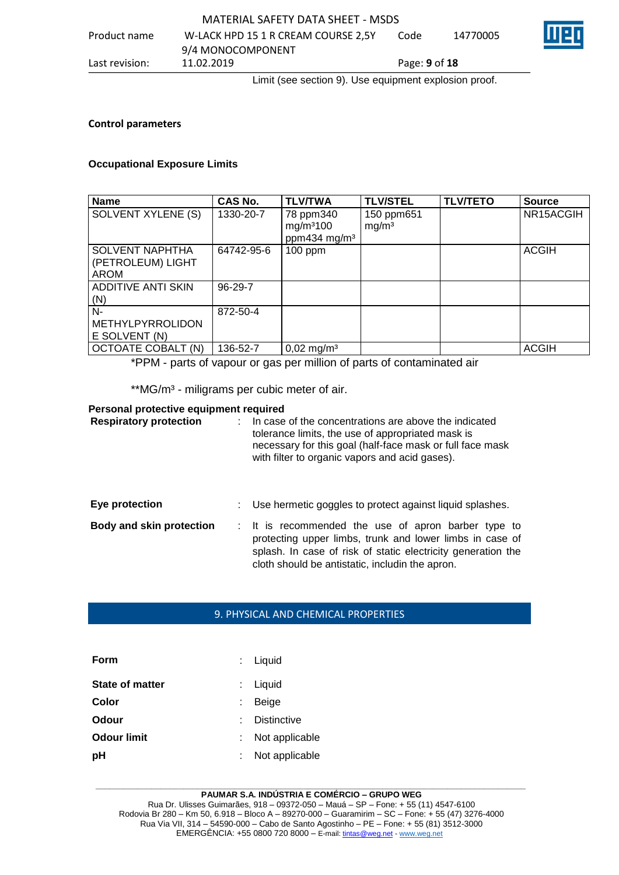### MATERIAL SAFETY DATA SHEET - MSDS Product name W-LACK HPD 15 1 R CREAM COURSE 2,5Y 9/4 MONOCOMPONENT<br>11.02.2019 Code 14770005 Last revision: 11.02.2019 Page: **9** of **18**

Limit (see section 9). Use equipment explosion proof.

### **Control parameters**

### **Occupational Exposure Limits**

| <b>Name</b>                                                | CAS No.    | <b>TLV/TWA</b>                                                 | <b>TLV/STEL</b>                 | <b>TLV/TETO</b> | <b>Source</b> |
|------------------------------------------------------------|------------|----------------------------------------------------------------|---------------------------------|-----------------|---------------|
| SOLVENT XYLENE (S)                                         | 1330-20-7  | 78 ppm340<br>mg/m <sup>3</sup> 100<br>ppm434 mg/m <sup>3</sup> | 150 ppm651<br>mg/m <sup>3</sup> |                 | NR15ACGIH     |
| <b>SOLVENT NAPHTHA</b><br>(PETROLEUM) LIGHT<br><b>AROM</b> | 64742-95-6 | $100$ ppm                                                      |                                 |                 | <b>ACGIH</b>  |
| <b>ADDITIVE ANTI SKIN</b><br>(N)                           | $96-29-7$  |                                                                |                                 |                 |               |
| $N-$<br>METHYLPYRROLIDON<br>E SOLVENT (N)                  | 872-50-4   |                                                                |                                 |                 |               |
| <b>OCTOATE COBALT (N)</b>                                  | 136-52-7   | $0,02 \text{ mg/m}^3$                                          |                                 |                 | <b>ACGIH</b>  |

\*PPM - parts of vapour or gas per million of parts of contaminated air

\*\* MG/m<sup>3</sup> - miligrams per cubic meter of air.

### **Personal protective equipment required**

| <b>Respiratory protection</b>   | In case of the concentrations are above the indicated<br>tolerance limits, the use of appropriated mask is<br>necessary for this goal (half-face mask or full face mask<br>with filter to organic vapors and acid gases).          |
|---------------------------------|------------------------------------------------------------------------------------------------------------------------------------------------------------------------------------------------------------------------------------|
| Eye protection                  | : Use hermetic goggles to protect against liquid splashes.                                                                                                                                                                         |
| <b>Body and skin protection</b> | : It is recommended the use of apron barber type to<br>protecting upper limbs, trunk and lower limbs in case of<br>splash. In case of risk of static electricity generation the<br>cloth should be antistatic, includin the apron. |

### 9. PHYSICAL AND CHEMICAL PROPERTIES

| Form                   | $:$ Liquid         |
|------------------------|--------------------|
| <b>State of matter</b> | : Liquid           |
| Color                  | <b>Beige</b>       |
| Odour                  | <b>Distinctive</b> |
| <b>Odour limit</b>     | Not applicable     |
| pH                     | Not applicable     |

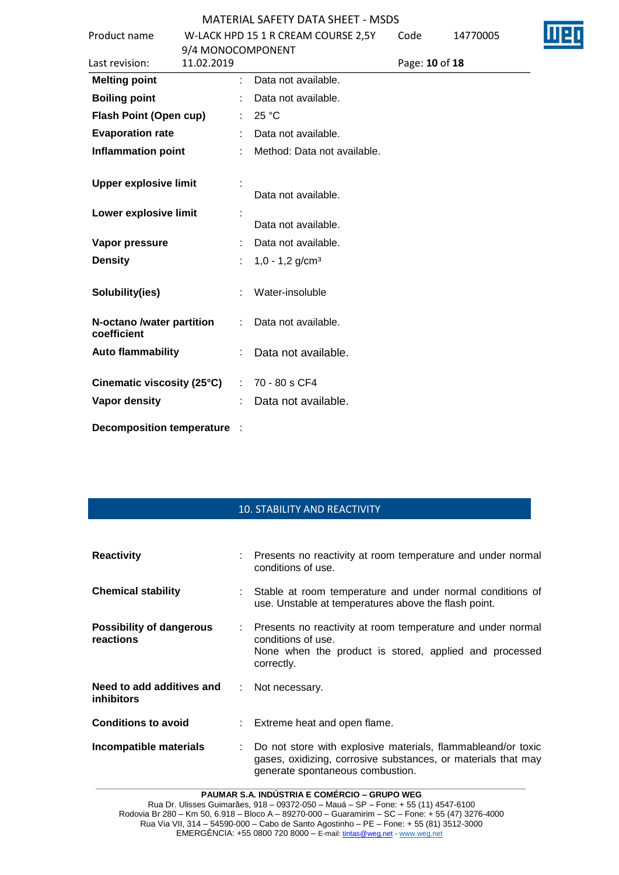| Product name                             |                   | W-LACK HPD 15 1 R CREAM COURSE 2,5Y | Code           | 14770005 |  |
|------------------------------------------|-------------------|-------------------------------------|----------------|----------|--|
|                                          | 9/4 MONOCOMPONENT |                                     |                |          |  |
| Last revision:                           | 11.02.2019        |                                     | Page: 10 of 18 |          |  |
| <b>Melting point</b>                     |                   | Data not available.                 |                |          |  |
| <b>Boiling point</b>                     |                   | Data not available.                 |                |          |  |
| Flash Point (Open cup)                   |                   | 25 °C                               |                |          |  |
| <b>Evaporation rate</b>                  |                   | Data not available.                 |                |          |  |
| <b>Inflammation point</b>                |                   | Method: Data not available.         |                |          |  |
| <b>Upper explosive limit</b>             |                   |                                     |                |          |  |
|                                          |                   | Data not available.                 |                |          |  |
| Lower explosive limit                    |                   |                                     |                |          |  |
|                                          |                   | Data not available.                 |                |          |  |
| Vapor pressure                           |                   | Data not available.                 |                |          |  |
| <b>Density</b>                           |                   | $1,0 - 1,2$ g/cm <sup>3</sup>       |                |          |  |
| Solubility(ies)                          |                   | Water-insoluble                     |                |          |  |
| N-octano /water partition<br>coefficient |                   | Data not available.                 |                |          |  |
| <b>Auto flammability</b>                 |                   | Data not available.                 |                |          |  |
| Cinematic viscosity (25°C)               | $\mathbb{R}^n$    | 70 - 80 s CF4                       |                |          |  |
| <b>Vapor density</b>                     |                   | Data not available.                 |                |          |  |
| Decomposition temperature :              |                   |                                     |                |          |  |

## 10. STABILITY AND REACTIVITY

| <b>Reactivity</b>                              | : Presents no reactivity at room temperature and under normal<br>conditions of use.                                                                               |
|------------------------------------------------|-------------------------------------------------------------------------------------------------------------------------------------------------------------------|
| <b>Chemical stability</b>                      | : Stable at room temperature and under normal conditions of<br>use. Unstable at temperatures above the flash point.                                               |
| <b>Possibility of dangerous</b><br>reactions   | : Presents no reactivity at room temperature and under normal<br>conditions of use.<br>None when the product is stored, applied and processed<br>correctly.       |
| Need to add additives and<br><b>inhibitors</b> | : Not necessary.                                                                                                                                                  |
| <b>Conditions to avoid</b>                     | : Extreme heat and open flame.                                                                                                                                    |
| Incompatible materials                         | Do not store with explosive materials, flammableand/or toxic<br>gases, oxidizing, corrosive substances, or materials that may<br>generate spontaneous combustion. |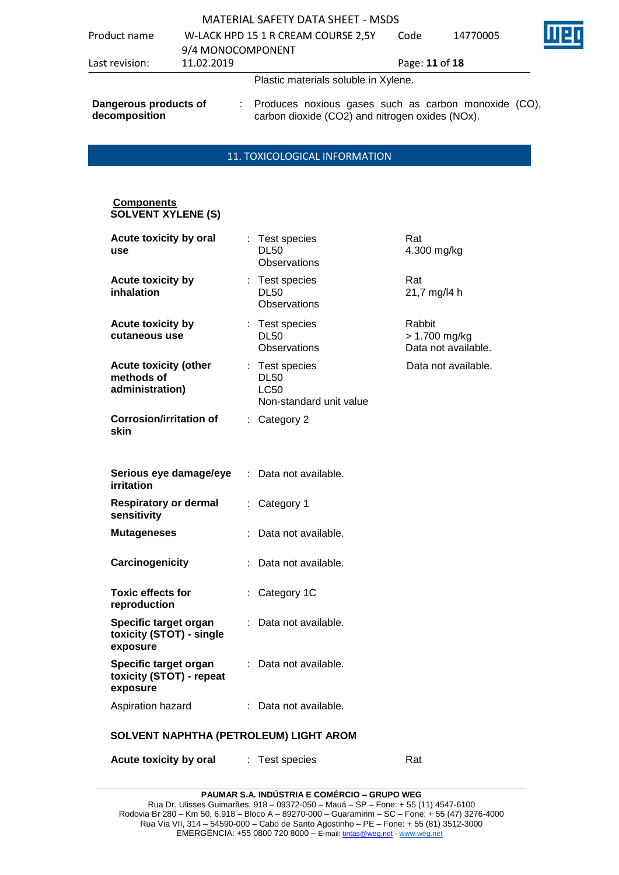| Product name                           | 9/4 MONOCOMPONENT | W-LACK HPD 15 1 R CREAM COURSE 2,5Y                                                                       | Code           | 14770005 |  |
|----------------------------------------|-------------------|-----------------------------------------------------------------------------------------------------------|----------------|----------|--|
| Last revision:                         | 11.02.2019        |                                                                                                           | Page: 11 of 18 |          |  |
|                                        |                   | Plastic materials soluble in Xylene.                                                                      |                |          |  |
| Dangerous products of<br>decomposition |                   | : Produces noxious gases such as carbon monoxide (CO),<br>carbon dioxide (CO2) and nitrogen oxides (NOx). |                |          |  |

### 11. TOXICOLOGICAL INFORMATION

### **Components SOLVENT XYLENE (S)**

| Acute toxicity by oral<br>use                                 |    | Test species<br><b>DL50</b><br><b>Observations</b>                    | Rat<br>4.300 mg/kg                             |  |  |
|---------------------------------------------------------------|----|-----------------------------------------------------------------------|------------------------------------------------|--|--|
| <b>Acute toxicity by</b><br>inhalation                        |    | : Test species<br><b>DL50</b><br><b>Observations</b>                  | Rat<br>21,7 mg/l4 h                            |  |  |
| <b>Acute toxicity by</b><br>cutaneous use                     |    | : Test species<br><b>DL50</b><br><b>Observations</b>                  | Rabbit<br>> 1.700 mg/kg<br>Data not available. |  |  |
| <b>Acute toxicity (other</b><br>methods of<br>administration) |    | Test species<br><b>DL50</b><br><b>LC50</b><br>Non-standard unit value | Data not available.                            |  |  |
| <b>Corrosion/irritation of</b><br>skin                        |    | : Category 2                                                          |                                                |  |  |
| Serious eye damage/eye<br>irritation                          | ÷  | Data not available.                                                   |                                                |  |  |
| <b>Respiratory or dermal</b><br>sensitivity                   | ÷. | Category 1                                                            |                                                |  |  |
| <b>Mutageneses</b>                                            |    | Data not available.                                                   |                                                |  |  |
| Carcinogenicity                                               |    | Data not available.                                                   |                                                |  |  |
| <b>Toxic effects for</b><br>reproduction                      |    | Category 1C                                                           |                                                |  |  |
| Specific target organ<br>toxicity (STOT) - single<br>exposure |    | Data not available.                                                   |                                                |  |  |
| Specific target organ<br>toxicity (STOT) - repeat<br>exposure | ÷. | Data not available.                                                   |                                                |  |  |
| Aspiration hazard                                             |    | : Data not available.                                                 |                                                |  |  |
| SOLVENT NAPHTHA (PETROLEUM) LIGHT AROM                        |    |                                                                       |                                                |  |  |

| <b>Acute toxicity by oral</b> | Test species | Rat |
|-------------------------------|--------------|-----|
|-------------------------------|--------------|-----|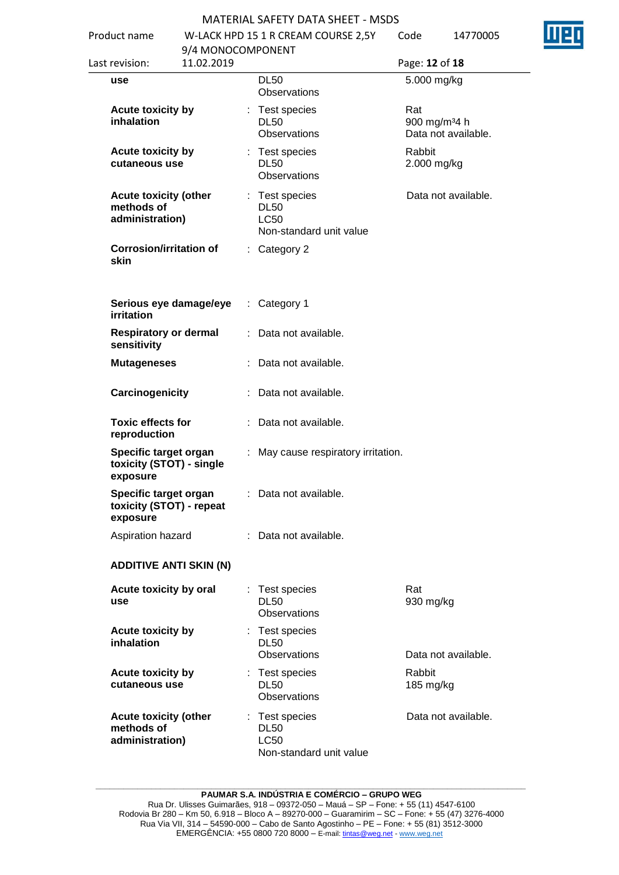| Product name                                                  | 9/4 MONOCOMPONENT      | W-LACK HPD 15 1 R CREAM COURSE 2,5Y                                     | Code                  | 14770005                                        |
|---------------------------------------------------------------|------------------------|-------------------------------------------------------------------------|-----------------------|-------------------------------------------------|
| Last revision:                                                | 11.02.2019             |                                                                         | Page: 12 of 18        |                                                 |
| use                                                           |                        | <b>DL50</b><br>Observations                                             | 5.000 mg/kg           |                                                 |
| <b>Acute toxicity by</b><br>inhalation                        |                        | : Test species<br><b>DL50</b><br><b>Observations</b>                    | Rat                   | 900 mg/m <sup>34</sup> h<br>Data not available. |
| <b>Acute toxicity by</b><br>cutaneous use                     |                        | Test species<br><b>DL50</b><br><b>Observations</b>                      | Rabbit<br>2.000 mg/kg |                                                 |
| <b>Acute toxicity (other</b><br>methods of<br>administration) |                        | : Test species<br><b>DL50</b><br><b>LC50</b><br>Non-standard unit value |                       | Data not available.                             |
| <b>Corrosion/irritation of</b><br>skin                        |                        | $:$ Category 2                                                          |                       |                                                 |
| <b>irritation</b>                                             | Serious eye damage/eye | $:$ Category 1                                                          |                       |                                                 |
| <b>Respiratory or dermal</b><br>sensitivity                   |                        | : Data not available.                                                   |                       |                                                 |
| <b>Mutageneses</b>                                            |                        | Data not available.                                                     |                       |                                                 |
| Carcinogenicity                                               |                        | : Data not available.                                                   |                       |                                                 |
| <b>Toxic effects for</b><br>reproduction                      |                        | : Data not available.                                                   |                       |                                                 |
| Specific target organ<br>toxicity (STOT) - single<br>exposure |                        | : May cause respiratory irritation.                                     |                       |                                                 |
| Specific target organ<br>toxicity (STOT) - repeat<br>exposure |                        | Data not available.                                                     |                       |                                                 |
| Aspiration hazard                                             |                        | : Data not available.                                                   |                       |                                                 |
| <b>ADDITIVE ANTI SKIN (N)</b>                                 |                        |                                                                         |                       |                                                 |
| Acute toxicity by oral<br>use                                 |                        | : Test species<br><b>DL50</b><br><b>Observations</b>                    | Rat<br>930 mg/kg      |                                                 |
| <b>Acute toxicity by</b><br>inhalation                        |                        | Test species<br><b>DL50</b><br><b>Observations</b>                      |                       | Data not available.                             |
| <b>Acute toxicity by</b><br>cutaneous use                     |                        | : Test species<br><b>DL50</b><br><b>Observations</b>                    | Rabbit<br>185 mg/kg   |                                                 |
| <b>Acute toxicity (other</b><br>methods of<br>administration) |                        | : Test species<br><b>DL50</b><br><b>LC50</b><br>Non-standard unit value |                       | Data not available.                             |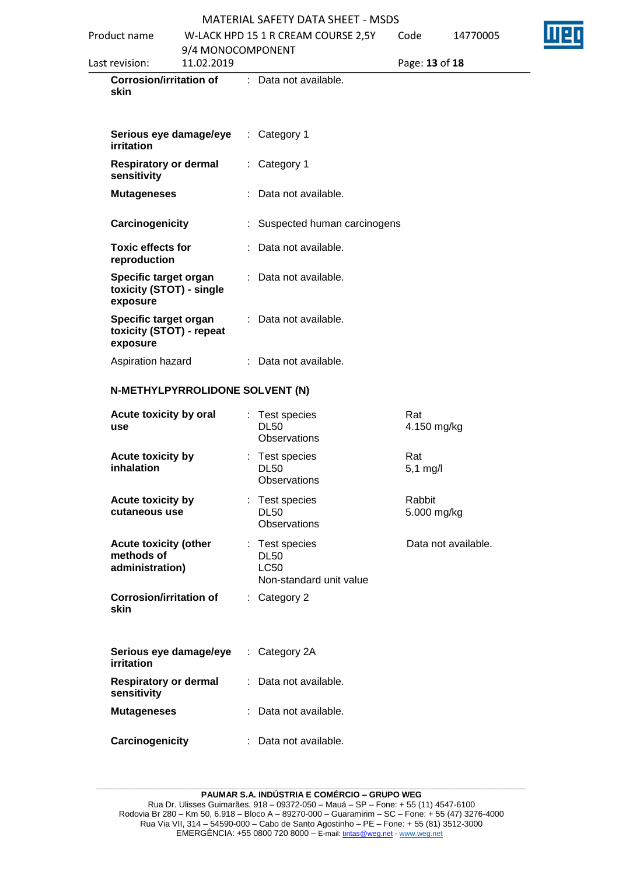|                                                                  | MATERIAL SAFETY DATA SHEET - MSDS |   |                                                                       |                       |                     |  |
|------------------------------------------------------------------|-----------------------------------|---|-----------------------------------------------------------------------|-----------------------|---------------------|--|
| Product name                                                     |                                   |   | W-LACK HPD 15 1 R CREAM COURSE 2,5Y                                   | Code                  | 14770005            |  |
| Last revision:                                                   | 9/4 MONOCOMPONENT<br>11.02.2019   |   |                                                                       | Page: 13 of 18        |                     |  |
| <b>Corrosion/irritation of</b><br>skin                           |                                   |   | : Data not available.                                                 |                       |                     |  |
| Serious eye damage/eye<br>irritation                             |                                   |   | : Category 1                                                          |                       |                     |  |
| <b>Respiratory or dermal</b><br>sensitivity                      |                                   |   | : Category 1                                                          |                       |                     |  |
| <b>Mutageneses</b>                                               |                                   |   | : Data not available.                                                 |                       |                     |  |
| Carcinogenicity                                                  |                                   |   | : Suspected human carcinogens                                         |                       |                     |  |
| <b>Toxic effects for</b><br>reproduction                         |                                   |   | Data not available.                                                   |                       |                     |  |
| Specific target organ<br>toxicity (STOT) - single<br>exposure    |                                   |   | : Data not available.                                                 |                       |                     |  |
| Specific target organ<br>toxicity (STOT) - repeat<br>exposure    |                                   |   | : Data not available.                                                 |                       |                     |  |
| Aspiration hazard                                                |                                   |   | : Data not available.                                                 |                       |                     |  |
| N-METHYLPYRROLIDONE SOLVENT (N)<br>Acute toxicity by oral<br>use |                                   |   | : Test species<br><b>DL50</b>                                         | Rat<br>4.150 mg/kg    |                     |  |
|                                                                  |                                   |   | <b>Observations</b>                                                   |                       |                     |  |
| Acute toxicity by<br>inhalation                                  |                                   | t | Test species<br><b>DL50</b><br>Observations                           | Rat<br>$5,1$ mg/l     |                     |  |
| Acute toxicity by<br>cutaneous use                               |                                   |   | : Test species<br><b>DL50</b><br>Observations                         | Rabbit<br>5.000 mg/kg |                     |  |
| <b>Acute toxicity (other</b><br>methods of<br>administration)    |                                   | ÷ | Test species<br><b>DL50</b><br><b>LC50</b><br>Non-standard unit value |                       | Data not available. |  |
| <b>Corrosion/irritation of</b><br>skin                           |                                   |   | $:$ Category 2                                                        |                       |                     |  |
| Serious eye damage/eye<br>irritation                             |                                   |   | : Category 2A                                                         |                       |                     |  |
| <b>Respiratory or dermal</b><br>sensitivity                      |                                   |   | Data not available.                                                   |                       |                     |  |
|                                                                  |                                   |   |                                                                       |                       |                     |  |
| <b>Mutageneses</b>                                               |                                   |   | : Data not available.                                                 |                       |                     |  |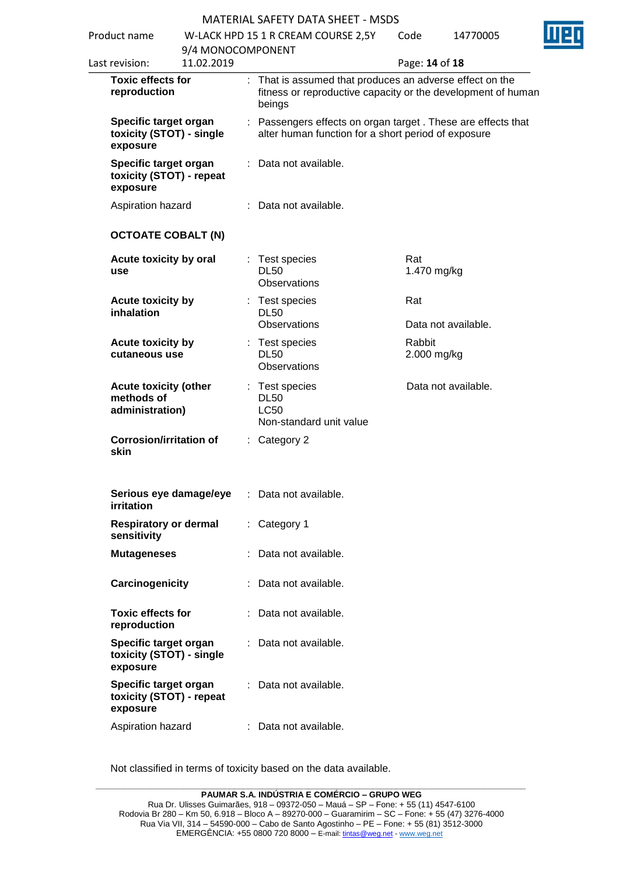| Product name   |                                                               | W-LACK HPD 15 1 R CREAM COURSE 2,5Y<br>Code<br>14770005 |  |                                                                                                                                  | Щ                     |                     |  |
|----------------|---------------------------------------------------------------|---------------------------------------------------------|--|----------------------------------------------------------------------------------------------------------------------------------|-----------------------|---------------------|--|
|                |                                                               | 9/4 MONOCOMPONENT                                       |  |                                                                                                                                  |                       |                     |  |
| Last revision: |                                                               | 11.02.2019                                              |  |                                                                                                                                  | Page: 14 of 18        |                     |  |
|                | <b>Toxic effects for</b><br>reproduction                      |                                                         |  | That is assumed that produces an adverse effect on the<br>fitness or reproductive capacity or the development of human<br>beings |                       |                     |  |
| exposure       | Specific target organ                                         | toxicity (STOT) - single                                |  | : Passengers effects on organ target. These are effects that<br>alter human function for a short period of exposure              |                       |                     |  |
| exposure       | Specific target organ                                         | toxicity (STOT) - repeat                                |  | : Data not available.                                                                                                            |                       |                     |  |
|                | Aspiration hazard                                             |                                                         |  | : Data not available.                                                                                                            |                       |                     |  |
|                |                                                               | <b>OCTOATE COBALT (N)</b>                               |  |                                                                                                                                  |                       |                     |  |
| use            | Acute toxicity by oral                                        |                                                         |  | Test species<br><b>DL50</b><br>Observations                                                                                      | Rat<br>1.470 mg/kg    |                     |  |
|                | Acute toxicity by<br>inhalation                               |                                                         |  | : Test species<br><b>DL50</b><br>Observations                                                                                    | Rat                   | Data not available. |  |
|                | Acute toxicity by<br>cutaneous use                            |                                                         |  | : Test species<br><b>DL50</b><br><b>Observations</b>                                                                             | Rabbit<br>2.000 mg/kg |                     |  |
|                | <b>Acute toxicity (other</b><br>methods of<br>administration) |                                                         |  | : Test species<br><b>DL50</b><br><b>LC50</b><br>Non-standard unit value                                                          |                       | Data not available. |  |
| skin           |                                                               | <b>Corrosion/irritation of</b><br>: Category 2          |  |                                                                                                                                  |                       |                     |  |
| irritation     |                                                               | Serious eye damage/eye                                  |  | : Data not available.                                                                                                            |                       |                     |  |
|                | <b>Respiratory or dermal</b><br>sensitivity                   |                                                         |  | : Category 1                                                                                                                     |                       |                     |  |
|                | <b>Mutageneses</b>                                            |                                                         |  | : Data not available.                                                                                                            |                       |                     |  |
|                | Carcinogenicity                                               |                                                         |  | : Data not available.                                                                                                            |                       |                     |  |
|                | <b>Toxic effects for</b><br>reproduction                      |                                                         |  | : Data not available.                                                                                                            |                       |                     |  |
| exposure       | Specific target organ                                         | toxicity (STOT) - single                                |  | : Data not available.                                                                                                            |                       |                     |  |
| exposure       | Specific target organ                                         | toxicity (STOT) - repeat                                |  | Data not available.                                                                                                              |                       |                     |  |
|                | Aspiration hazard                                             |                                                         |  | : Data not available.                                                                                                            |                       |                     |  |
|                |                                                               |                                                         |  |                                                                                                                                  |                       |                     |  |

Not classified in terms of toxicity based on the data available.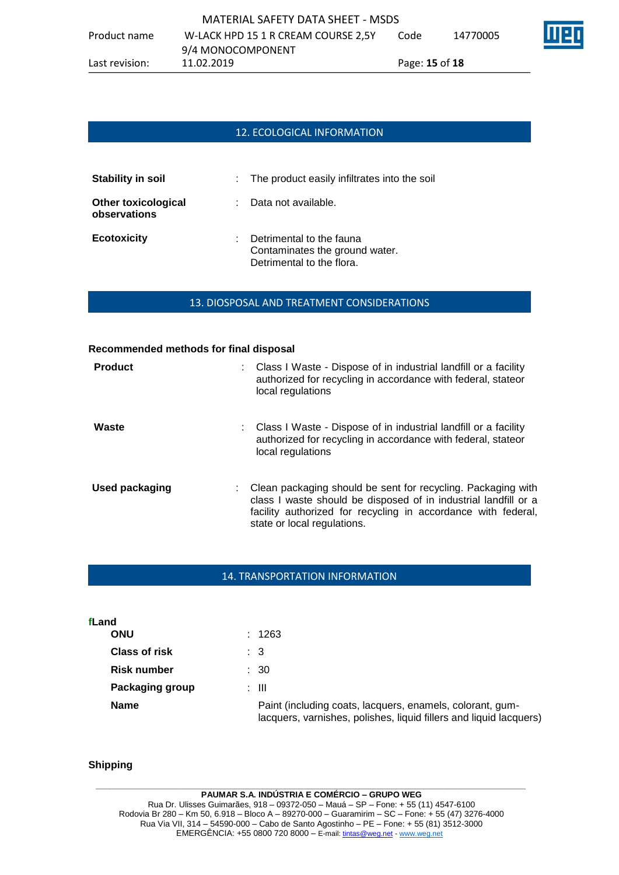## 12. ECOLOGICAL INFORMATION

| <b>Stability in soil</b>                   | : The product easily infiltrates into the soil                                          |
|--------------------------------------------|-----------------------------------------------------------------------------------------|
| <b>Other toxicological</b><br>observations | Data not available.                                                                     |
| <b>Ecotoxicity</b>                         | Detrimental to the fauna<br>Contaminates the ground water.<br>Detrimental to the flora. |

### 13. DIOSPOSAL AND TREATMENT CONSIDERATIONS

# **Recommended methods for final disposal Product** : Class I Waste - Dispose of in industrial landfill or a facility authorized for recycling in accordance with federal, stateor local regulations **Waste** : Class I Waste - Dispose of in industrial landfill or a facility authorized for recycling in accordance with federal, stateor local regulations **Used packaging** : Clean packaging should be sent for recycling. Packaging with class I waste should be disposed of in industrial landfill or a facility authorized for recycling in accordance with federal, state or local regulations.

### 14. TRANSPORTATION INFORMATION

| fLand                |                                                                                                                                 |
|----------------------|---------------------------------------------------------------------------------------------------------------------------------|
| <b>ONU</b>           | : 1263                                                                                                                          |
| <b>Class of risk</b> | : 3                                                                                                                             |
| <b>Risk number</b>   | : 30                                                                                                                            |
| Packaging group      | : III                                                                                                                           |
| <b>Name</b>          | Paint (including coats, lacquers, enamels, colorant, gum-<br>lacquers, varnishes, polishes, liquid fillers and liquid lacquers) |

### **Shipping**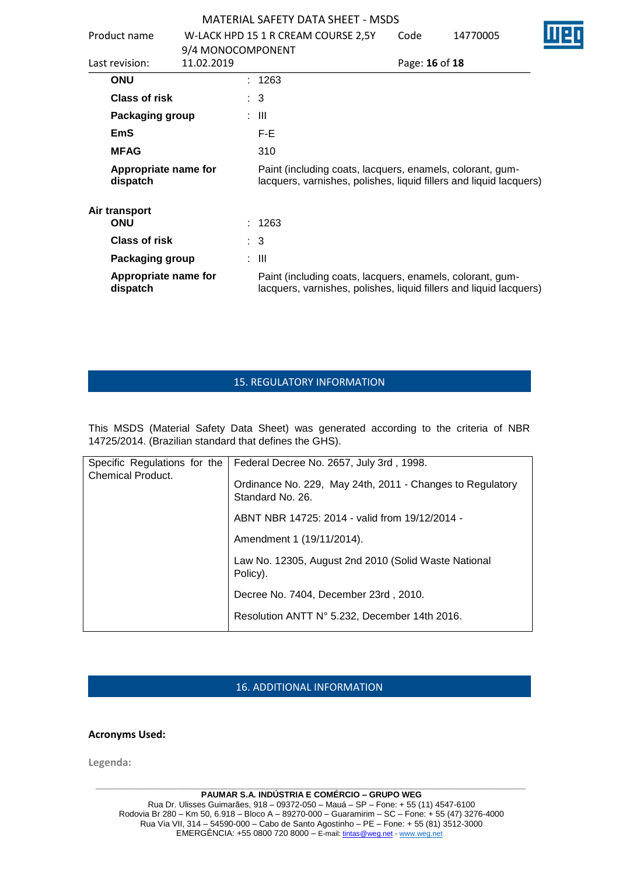|                              | Product name                     | 9/4 MONOCOMPONENT |  | W-LACK HPD 15 1 R CREAM COURSE 2,5Y                                                                                             | Code | 14770005 |
|------------------------------|----------------------------------|-------------------|--|---------------------------------------------------------------------------------------------------------------------------------|------|----------|
| 11.02.2019<br>Last revision: |                                  |                   |  | Page: 16 of 18                                                                                                                  |      |          |
|                              | <b>ONU</b>                       |                   |  | : 1263                                                                                                                          |      |          |
|                              | Class of risk                    |                   |  | $\therefore$ 3                                                                                                                  |      |          |
|                              | Packaging group                  |                   |  | : III                                                                                                                           |      |          |
|                              | <b>EmS</b>                       |                   |  | F-E                                                                                                                             |      |          |
|                              | <b>MFAG</b>                      |                   |  | 310                                                                                                                             |      |          |
|                              | Appropriate name for<br>dispatch |                   |  | Paint (including coats, lacquers, enamels, colorant, gum-<br>lacquers, varnishes, polishes, liquid fillers and liquid lacquers) |      |          |
| Air transport<br><b>ONU</b>  |                                  |                   |  | : 1263                                                                                                                          |      |          |
|                              | Class of risk                    |                   |  | $\therefore$ 3                                                                                                                  |      |          |
|                              | Packaging group                  |                   |  | : III                                                                                                                           |      |          |
|                              | Appropriate name for<br>dispatch |                   |  | Paint (including coats, lacquers, enamels, colorant, gum-<br>lacquers, varnishes, polishes, liquid fillers and liquid lacquers) |      |          |

## 15. REGULATORY INFORMATION

This MSDS (Material Safety Data Sheet) was generated according to the criteria of NBR 14725/2014. (Brazilian standard that defines the GHS).

| Specific Regulations for the | Federal Decree No. 2657, July 3rd, 1998.                                      |
|------------------------------|-------------------------------------------------------------------------------|
| <b>Chemical Product.</b>     | Ordinance No. 229, May 24th, 2011 - Changes to Regulatory<br>Standard No. 26. |
|                              | ABNT NBR 14725: 2014 - valid from 19/12/2014 -                                |
|                              | Amendment 1 (19/11/2014).                                                     |
|                              | Law No. 12305, August 2nd 2010 (Solid Waste National<br>Policy).              |
|                              | Decree No. 7404, December 23rd, 2010.                                         |
|                              | Resolution ANTT N° 5.232, December 14th 2016.                                 |
|                              |                                                                               |

## 16. ADDITIONAL INFORMATION

### **Acronyms Used:**

**Legenda:**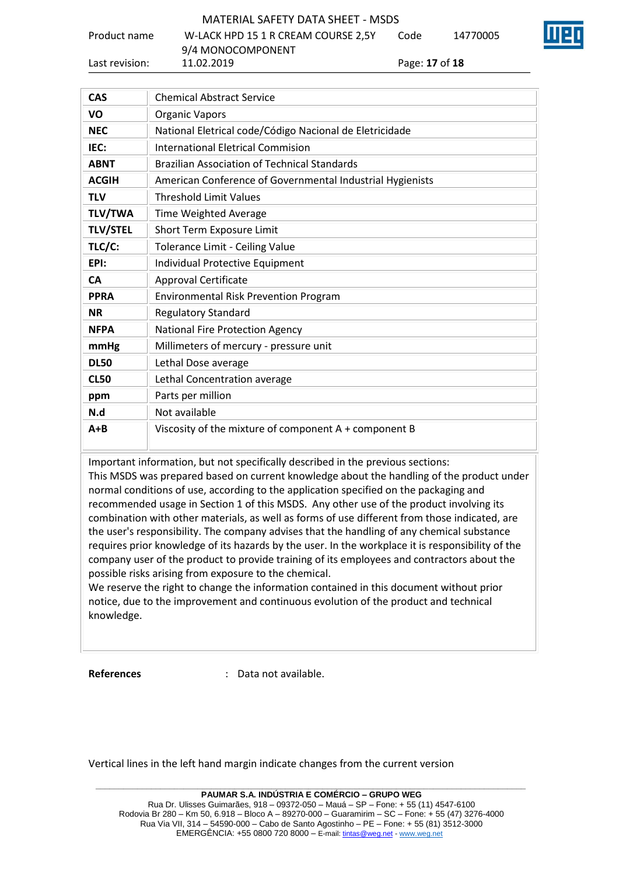Product name W-LACK HPD 15 1 R CREAM COURSE 2,5Y

9/4 MONOCOMPONENT

Last revision: 11.02.2019 Page: **17** of **18**

Code 14770005

| <b>CAS</b>      | <b>Chemical Abstract Service</b>                          |
|-----------------|-----------------------------------------------------------|
| VO              | <b>Organic Vapors</b>                                     |
| <b>NEC</b>      | National Eletrical code/Código Nacional de Eletricidade   |
| IEC:            | International Eletrical Commision                         |
| <b>ABNT</b>     | <b>Brazilian Association of Technical Standards</b>       |
| <b>ACGIH</b>    | American Conference of Governmental Industrial Hygienists |
| <b>TLV</b>      | <b>Threshold Limit Values</b>                             |
| <b>TLV/TWA</b>  | <b>Time Weighted Average</b>                              |
| <b>TLV/STEL</b> | Short Term Exposure Limit                                 |
| TLC/C:          | Tolerance Limit - Ceiling Value                           |
| EPI:            | Individual Protective Equipment                           |
| <b>CA</b>       | Approval Certificate                                      |
| <b>PPRA</b>     | <b>Environmental Risk Prevention Program</b>              |
| <b>NR</b>       | <b>Regulatory Standard</b>                                |
| <b>NFPA</b>     | <b>National Fire Protection Agency</b>                    |
| mmHg            | Millimeters of mercury - pressure unit                    |
| <b>DL50</b>     | Lethal Dose average                                       |
| <b>CL50</b>     | Lethal Concentration average                              |
| ppm             | Parts per million                                         |
| N.d             | Not available                                             |
| $A + B$         | Viscosity of the mixture of component $A + component B$   |

Important information, but not specifically described in the previous sections:

This MSDS was prepared based on current knowledge about the handling of the product under normal conditions of use, according to the application specified on the packaging and recommended usage in Section 1 of this MSDS. Any other use of the product involving its combination with other materials, as well as forms of use different from those indicated, are the user's responsibility. The company advises that the handling of any chemical substance requires prior knowledge of its hazards by the user. In the workplace it is responsibility of the company user of the product to provide training of its employees and contractors about the possible risks arising from exposure to the chemical.

We reserve the right to change the information contained in this document without prior notice, due to the improvement and continuous evolution of the product and technical knowledge.

**References** : Data not available.

Vertical lines in the left hand margin indicate changes from the current version